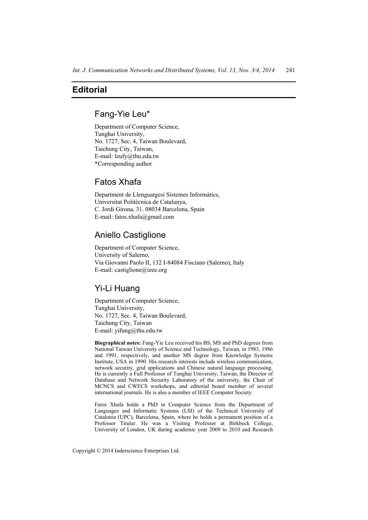# **Editorial**

## Fang-Yie Leu\*

Department of Computer Science, Tunghai University, No. 1727, Sec. 4, Taiwan Boulevard, Taichung City, Taiwan, E-mail: leufy@thu.edu.tw \*Corresponding author

# Fatos Xhafa

Department de Llenguatgesi Sistemes Informàtics, Universitat Politècnica de Catalunya, C. Jordi Girona, 31. 08034 Barcelona, Spain E-mail: fatos.xhafa@gmail.com

### Aniello Castiglione

Department of Computer Science, University of Salerno, Via Giovanni Paolo II, 132 I-84084 Fisciano (Salerno), Italy E-mail: castiglione@ieee.org

## Yi-Li Huang

Department of Computer Science, Tunghai University, No. 1727, Sec. 4, Taiwan Boulevard, Taichung City, Taiwan E-mail: yifung@thu.edu.tw

**Biographical notes:** Fang-Yie Leu received his BS, MS and PhD degrees from National Taiwan University of Science and Technology, Taiwan, in 1983, 1986 and 1991, respectively, and another MS degree from Knowledge Systems Institute, USA in 1990. His research interests include wireless communication, network security, grid applications and Chinese natural language processing. He is currently a Full Professor of Tunghai University, Taiwan, the Director of Database and Network Security Laboratory of the university, the Chair of MCNCS and CWECS workshops, and editorial board member of several international journals. He is also a member of IEEE Computer Society.

Fatos Xhafa holds a PhD in Computer Science from the Department of Languages and Informatic Systems (LSI) of the Technical University of Catalonia (UPC), Barcelona, Spain, where he holds a permanent position of a Professor Titular. He was a Visiting Professor at Birkbeck College, University of London, UK during academic year 2009 to 2010 and Research

Copyright © 2014 Inderscience Enterprises Ltd.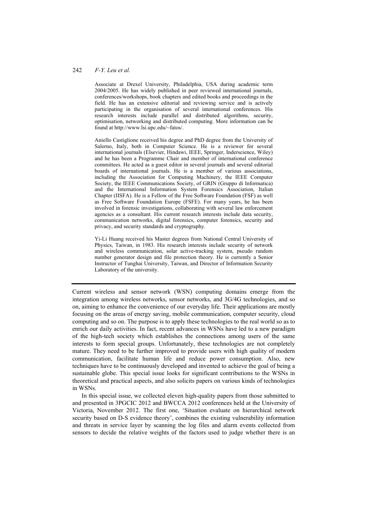#### 242 *F-Y. Leu et al.*

Associate at Drexel University, Philadelphia, USA during academic term 2004/2005. He has widely published in peer reviewed international journals, conferences/workshops, book chapters and edited books and proceedings in the field. He has an extensive editorial and reviewing service and is actively participating in the organisation of several international conferences. His research interests include parallel and distributed algorithms, security, optimisation, networking and distributed computing. More information can be found at http://www.lsi.upc.edu/~fatos/.

Aniello Castiglione received his degree and PhD degree from the University of Salerno, Italy, both in Computer Science. He is a reviewer for several international journals (Elsevier, Hindawi, IEEE, Springer, Inderscience, Wiley) and he has been a Programme Chair and member of international conference committees. He acted as a guest editor in several journals and several editorial boards of international journals. He is a member of various associations, including the Association for Computing Machinery, the IEEE Computer Society, the IEEE Communications Society, of GRIN (Gruppo di Informatica) and the International Information System Forensics Association, Italian Chapter (IISFA). He is a Fellow of the Free Software Foundation (FSF) as well as Free Software Foundation Europe (FSFE). For many years, he has been involved in forensic investigations, collaborating with several law enforcement agencies as a consultant. His current research interests include data security, communication networks, digital forensics, computer forensics, security and privacy, and security standards and cryptography.

Yi-Li Huang received his Master degrees from National Central University of Physics, Taiwan, in 1983. His research interests include security of network and wireless communication, solar active-tracking system, pseudo random number generator design and file protection theory. He is currently a Senior Instructor of Tunghai University, Taiwan, and Director of Information Security Laboratory of the university.

Current wireless and sensor network (WSN) computing domains emerge from the integration among wireless networks, sensor networks, and 3G/4G technologies, and so on, aiming to enhance the convenience of our everyday life. Their applications are mostly focusing on the areas of energy saving, mobile communication, computer security, cloud computing and so on. The purpose is to apply these technologies to the real world so as to enrich our daily activities. In fact, recent advances in WSNs have led to a new paradigm of the high-tech society which establishes the connections among users of the same interests to form special groups. Unfortunately, these technologies are not completely mature. They need to be further improved to provide users with high quality of modern communication, facilitate human life and reduce power consumption. Also, new techniques have to be continuously developed and invented to achieve the goal of being a sustainable globe. This special issue looks for significant contributions to the WSNs in theoretical and practical aspects, and also solicits papers on various kinds of technologies in WSNs.

In this special issue, we collected eleven high-quality papers from those submitted to and presented in 3PGCIC 2012 and BWCCA 2012 conferences held at the University of Victoria, November 2012. The first one, 'Situation evaluate on hierarchical network security based on D-S evidence theory', combines the existing vulnerability information and threats in service layer by scanning the log files and alarm events collected from sensors to decide the relative weights of the factors used to judge whether there is an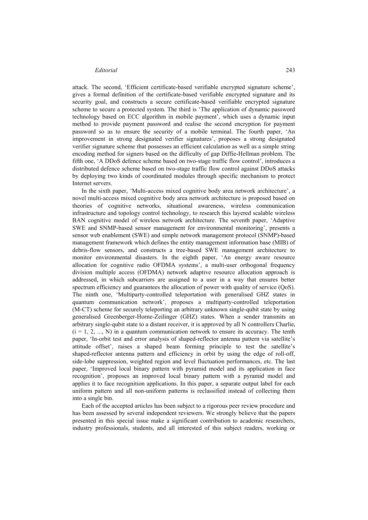#### *Editorial* 243

attack. The second, 'Efficient certificate-based verifiable encrypted signature scheme', gives a formal definition of the certificate-based verifiable encrypted signature and its security goal, and constructs a secure certificate-based verifiable encrypted signature scheme to secure a protected system. The third is 'The application of dynamic password technology based on ECC algorithm in mobile payment', which uses a dynamic input method to provide payment password and realise the second encryption for payment password so as to ensure the security of a mobile terminal. The fourth paper, 'An improvement in strong designated verifier signatures', proposes a strong designated verifier signature scheme that possesses an efficient calculation as well as a simple string encoding method for signers based on the difficulty of gap Diffie-Hellman problem. The fifth one, 'A DDoS defence scheme based on two-stage traffic flow control', introduces a distributed defence scheme based on two-stage traffic flow control against DDoS attacks by deploying two kinds of coordinated modules through specific mechanism to protect Internet servers.

In the sixth paper, 'Multi-access mixed cognitive body area network architecture', a novel multi-access mixed cognitive body area network architecture is proposed based on theories of cognitive networks, situational awareness, wireless communication infrastructure and topology control technology, to research this layered scalable wireless BAN cognitive model of wireless network architecture. The seventh paper, 'Adaptive SWE and SNMP-based sensor management for environmental monitoring', presents a sensor web enablement (SWE) and simple network management protocol (SNMP)-based management framework which defines the entity management information base (MIB) of debris-flow sensors, and constructs a tree-based SWE management architecture to monitor environmental disasters. In the eighth paper, 'An energy aware resource allocation for cognitive radio OFDMA systems', a multi-user orthogonal frequency division multiple access (OFDMA) network adaptive resource allocation approach is addressed, in which subcarriers are assigned to a user in a way that ensures better spectrum efficiency and guarantees the allocation of power with quality of service (QoS). The ninth one, 'Multiparty-controlled teleportation with generalised GHZ states in quantum communication network', proposes a multiparty-controlled teleportation (M-CT) scheme for securely teleporting an arbitrary unknown single-qubit state by using generalised Greenberger-Horne-Zeilinger (GHZ) states. When a sender transmits an arbitrary single-qubit state to a distant receiver, it is approved by all N controllers Charlie<sub>i</sub>  $(i = 1, 2, ..., N)$  in a quantum communication network to ensure its accuracy. The tenth paper, 'In-orbit test and error analysis of shaped-reflector antenna pattern via satellite's attitude offset', raises a shaped beam forming principle to test the satellite's shaped-reflector antenna pattern and efficiency in orbit by using the edge of roll-off, side-lobe suppression, weighted region and level fluctuation performances, etc. The last paper, 'Improved local binary pattern with pyramid model and its application in face recognition', proposes an improved local binary pattern with a pyramid model and applies it to face recognition applications. In this paper, a separate output label for each uniform pattern and all non-uniform patterns is reclassified instead of collecting them into a single bin.

Each of the accepted articles has been subject to a rigorous peer review procedure and has been assessed by several independent reviewers. We strongly believe that the papers presented in this special issue make a significant contribution to academic researchers, industry professionals, students, and all interested of this subject readers, working or